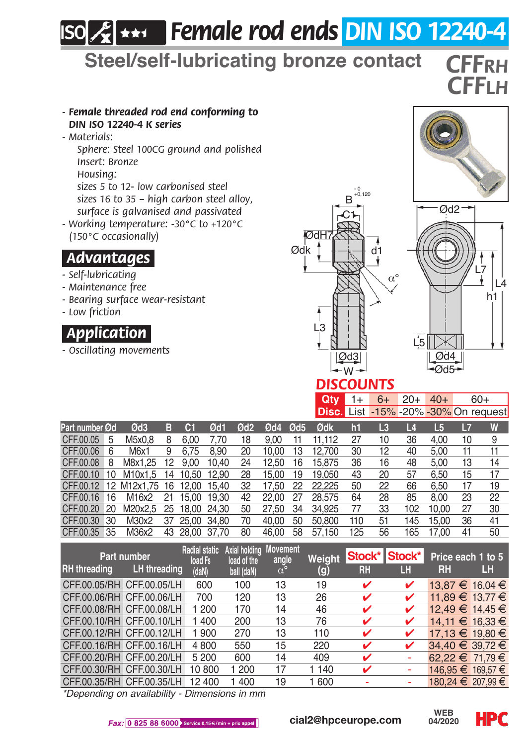# *Female rod ends DIN ISO 12240-4*

**Steel/self-lubricating bronze contact** *CFFrh*

#### *- Female threaded rod end conforming to DIN ISO 12240-4 K series*

*- Materials:*

*Sphere: Steel 100CG ground and polished Insert: Bronze*

*Housing:*

*sizes 5 to 12- low carbonised steel sizes 16 to 35 – high carbon steel alloy, surface is galvanised and passivated*

*- Working temperature: -30°C to +120°C (150°C occasionally)*

#### *.Advantages.*

- *Self-lubricating*
- *Maintenance free*
- *Bearing surface wear-resistant*
- *Low friction*

# *.Application.*

*- Oscillating movements*





*CFFlh*



### *DISCOUNTS*

|  |  |  | <b>Qty</b> 1+ 6+ 20+ 40+ 60+<br>Disc. List -15% -20% -30% On request                                 |  |
|--|--|--|------------------------------------------------------------------------------------------------------|--|
|  |  |  | A 2012 - A 2012 - LA 10 - LA 11 - LA 11 - LA 11 - LA 11 - LA 11 - LA 11 - LA 11 - LA 11 - LA 11 - LA |  |

| Part number Ød                       |   | Ød3                    | в               | Œ              | Ød1   | Ød2 | Ød4   | Ød <sub>5</sub> | Ødk    | m   | L3 | L   | L     | L  | W  |
|--------------------------------------|---|------------------------|-----------------|----------------|-------|-----|-------|-----------------|--------|-----|----|-----|-------|----|----|
| CFF.00.05                            | 5 | M5x0.8                 | 8               | 6.00           | 7.70  | 18  | 9.00  | 11              | 11.112 | 27  | 10 | 36  | 4.00  | 10 | 9  |
| CFF.00.06                            | 6 | M6x1                   | 9               | 6.75           | 8.90  | 20  | 10.00 | 13              | 12.700 | 30  | 12 | 40  | 5.00  | 11 | 11 |
| CFF.00.08                            | 8 | M8x1.25                | 12 <sup>2</sup> | 9.00           | 10.40 | 24  | 12.50 | 16              | 15.875 | 36  | 16 | 48  | 5.00  | 13 | 14 |
| CFF.00.10 10                         |   | M10x1.5 14 10.50 12.90 |                 |                |       | 28  | 15.00 | 19              | 19.050 | 43  | 20 | 57  | 6.50  | 15 | 17 |
| CFF.00.12 12 M12x1.75 16 12.00 15.40 |   |                        |                 |                |       | 32  | 17.50 | 22              | 22.225 | 50  | 22 | 66  | 6.50  | 17 | 19 |
| CFF.00.16 16                         |   | M16x2                  | 21              | 15.00 19.30    |       | 42  | 22.00 | 27              | 28,575 | 64  | 28 | 85  | 8.00  | 23 | 22 |
| CFF.00.20 20                         |   | M20x2.5 25 18.00 24.30 |                 |                |       | 50  | 27.50 | 34              | 34.925 | 77  | 33 | 102 | 10.00 | 27 | 30 |
| CFF.00.30 30                         |   | M30x2                  |                 | 37 25.00 34.80 |       | 70  | 40.00 | 50              | 50,800 | 110 | 51 | 145 | 15.00 | 36 | 41 |
| CFF.00.35 35                         |   | M36x2                  | 43              | 28.00 37.70    |       | 80  | 46.00 | 58              | 57.150 | 125 | 56 | 165 | 17.00 | 41 | 50 |

| Part number<br>LH threading<br><b>RH</b> threading |  | Radial static<br>load Fs | Axial holding<br>load of the | Movement<br>angle<br>$\alpha^{\circ}$ | Weight  | <b>RH</b> | Stock* Stock*<br>LH | Price each 1 to 5<br><b>RH</b> | Ш |
|----------------------------------------------------|--|--------------------------|------------------------------|---------------------------------------|---------|-----------|---------------------|--------------------------------|---|
|                                                    |  | (daN)                    | ball (daN)                   |                                       | (g)     |           |                     |                                |   |
| CFF.00.05/RH CFF.00.05/LH                          |  | 600                      | 100                          | 13                                    | 19      |           | v                   | 13.87 € 16.04 €                |   |
| CFF.00.06/RH CFF.00.06/LH                          |  | 700                      | 120                          | 13                                    | 26      |           | ✓                   | 11.89 € 13.77 €                |   |
| CFF.00.08/RH CFF.00.08/LH                          |  | 200                      | 170                          | 14                                    | 46      |           | ✓                   | 12.49 € 14.45 €                |   |
| CFF.00.10/RH CFF.00.10/LH                          |  | 400                      | 200                          | 13                                    | 76      |           | ✓                   | 14.11 € 16.33 €                |   |
| CFF.00.12/RH CFF.00.12/LH                          |  | 900                      | 270                          | 13                                    | 110     |           | ✓                   | 17.13 € 19.80 €                |   |
| CFF.00.16/RH CFF.00.16/LH                          |  | 4 800                    | 550                          | 15                                    | 220     |           | ✓                   | 34.40 € 39.72 €                |   |
| CFF.00.20/RH CFF.00.20/LH                          |  | 5 200                    | 600                          | 14                                    | 409     | v         |                     | 62.22 € 71.79 €                |   |
| CFF.00.30/RH CFF.00.30/LH                          |  | 10 800                   | 1 200                        | 17                                    | 1 1 4 0 |           |                     | 146.95 € 169.57 €              |   |
| CFF.00.35/RH CFF.00.35/LH                          |  | 12 400                   | 1400                         | 19                                    | 1 600   |           |                     | 180.24 € 207.99 €              |   |
| <b>ALCOHOL:</b>                                    |  | $-1$                     |                              |                                       |         |           |                     |                                |   |

*\*Depending on availability - Dimensions in mm*